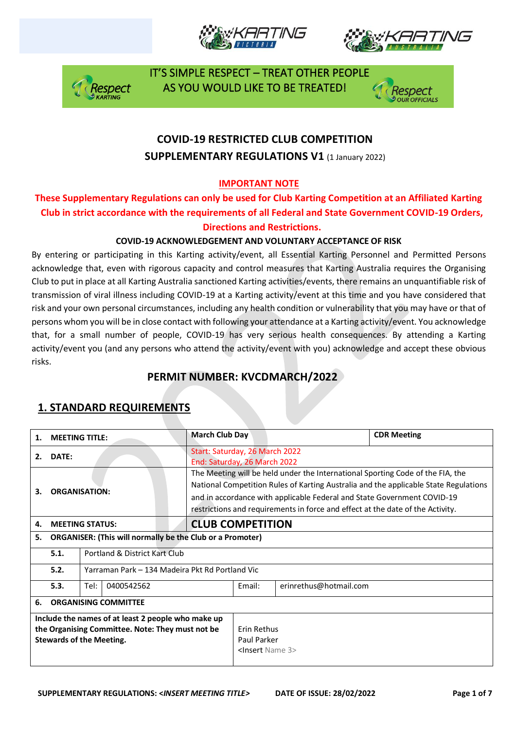







# **COVID-19 RESTRICTED CLUB COMPETITION SUPPLEMENTARY REGULATIONS V1 (1 January 2022)**

#### **IMPORTANT NOTE**

#### **These Supplementary Regulations can only be used for Club Karting Competition at an Affiliated Karting Club in strict accordance with the requirements of all Federal and State Government COVID-19 Orders, Directions and Restrictions.**

#### **COVID-19 ACKNOWLEDGEMENT AND VOLUNTARY ACCEPTANCE OF RISK**

By entering or participating in this Karting activity/event, all Essential Karting Personnel and Permitted Persons acknowledge that, even with rigorous capacity and control measures that Karting Australia requires the Organising Club to put in place at all Karting Australia sanctioned Karting activities/events, there remains an unquantifiable risk of transmission of viral illness including COVID-19 at a Karting activity/event at this time and you have considered that risk and your own personal circumstances, including any health condition or vulnerability that you may have or that of persons whom you will be in close contact with following your attendance at a Karting activity/event. You acknowledge that, for a small number of people, COVID-19 has very serious health consequences. By attending a Karting activity/event you (and any persons who attend the activity/event with you) acknowledge and accept these obvious risks.

#### **PERMIT NUMBER: KVCDMARCH/2022**

| 1.                                                                                                                                        | <b>MEETING TITLE:</b>       |                                                                  |  | <b>March Club Day</b>                                                                                                                                                                                                                                                                                                               |                                                              |        | <b>CDR Meeting</b>     |  |
|-------------------------------------------------------------------------------------------------------------------------------------------|-----------------------------|------------------------------------------------------------------|--|-------------------------------------------------------------------------------------------------------------------------------------------------------------------------------------------------------------------------------------------------------------------------------------------------------------------------------------|--------------------------------------------------------------|--------|------------------------|--|
| 2.                                                                                                                                        | DATE:                       |                                                                  |  | Start: Saturday, 26 March 2022<br>End: Saturday, 26 March 2022                                                                                                                                                                                                                                                                      |                                                              |        |                        |  |
| З.                                                                                                                                        | <b>ORGANISATION:</b>        |                                                                  |  | The Meeting will be held under the International Sporting Code of the FIA, the<br>National Competition Rules of Karting Australia and the applicable State Regulations<br>and in accordance with applicable Federal and State Government COVID-19<br>restrictions and requirements in force and effect at the date of the Activity. |                                                              |        |                        |  |
| 4.                                                                                                                                        | <b>MEETING STATUS:</b>      |                                                                  |  | <b>CLUB COMPETITION</b>                                                                                                                                                                                                                                                                                                             |                                                              |        |                        |  |
| 5.                                                                                                                                        |                             | <b>ORGANISER: (This will normally be the Club or a Promoter)</b> |  |                                                                                                                                                                                                                                                                                                                                     |                                                              |        |                        |  |
|                                                                                                                                           | 5.1.                        | Portland & District Kart Club                                    |  |                                                                                                                                                                                                                                                                                                                                     |                                                              |        |                        |  |
|                                                                                                                                           | 5.2.                        | Yarraman Park – 134 Madeira Pkt Rd Portland Vic                  |  |                                                                                                                                                                                                                                                                                                                                     |                                                              |        |                        |  |
|                                                                                                                                           | 5.3.                        | 0400542562<br>Tel:                                               |  |                                                                                                                                                                                                                                                                                                                                     |                                                              | Email: | erinrethus@hotmail.com |  |
| 6.                                                                                                                                        | <b>ORGANISING COMMITTEE</b> |                                                                  |  |                                                                                                                                                                                                                                                                                                                                     |                                                              |        |                        |  |
| Include the names of at least 2 people who make up<br>the Organising Committee. Note: They must not be<br><b>Stewards of the Meeting.</b> |                             |                                                                  |  |                                                                                                                                                                                                                                                                                                                                     | Erin Rethus<br>Paul Parker<br><insert 3="" name=""></insert> |        |                        |  |

## **1. STANDARD REQUIREMENTS**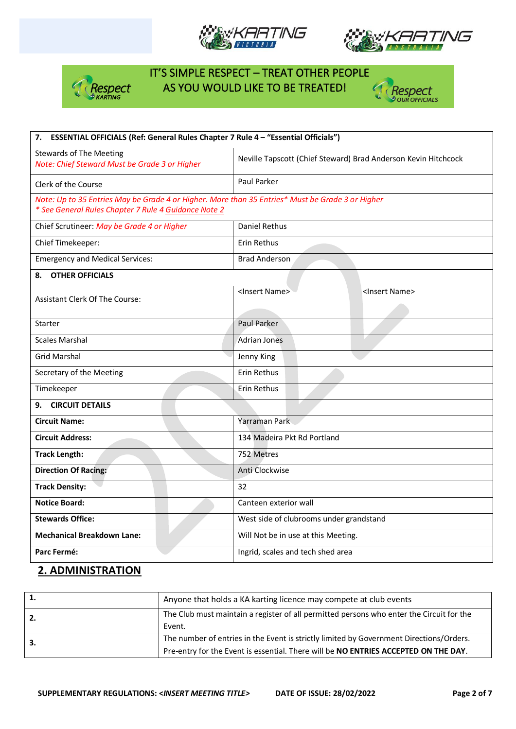







| 7. ESSENTIAL OFFICIALS (Ref: General Rules Chapter 7 Rule 4 - "Essential Officials")             |                                                                |  |  |  |
|--------------------------------------------------------------------------------------------------|----------------------------------------------------------------|--|--|--|
| <b>Stewards of The Meeting</b><br>Note: Chief Steward Must be Grade 3 or Higher                  | Neville Tapscott (Chief Steward) Brad Anderson Kevin Hitchcock |  |  |  |
| Clerk of the Course                                                                              | Paul Parker                                                    |  |  |  |
| Note: Up to 35 Entries May be Grade 4 or Higher. More than 35 Entries* Must be Grade 3 or Higher |                                                                |  |  |  |
| * See General Rules Chapter 7 Rule 4 Guidance Note 2                                             |                                                                |  |  |  |
| Chief Scrutineer: May be Grade 4 or Higher                                                       | <b>Daniel Rethus</b>                                           |  |  |  |
| Chief Timekeeper:                                                                                | Erin Rethus                                                    |  |  |  |
| <b>Emergency and Medical Services:</b>                                                           | <b>Brad Anderson</b>                                           |  |  |  |
| <b>OTHER OFFICIALS</b><br>8.                                                                     |                                                                |  |  |  |
|                                                                                                  | <insert name=""><br/><insert name=""></insert></insert>        |  |  |  |
| <b>Assistant Clerk Of The Course:</b>                                                            |                                                                |  |  |  |
| <b>Starter</b>                                                                                   | Paul Parker                                                    |  |  |  |
| <b>Scales Marshal</b>                                                                            | <b>Adrian Jones</b>                                            |  |  |  |
| <b>Grid Marshal</b>                                                                              | Jenny King                                                     |  |  |  |
| Secretary of the Meeting                                                                         | Erin Rethus                                                    |  |  |  |
| Timekeeper                                                                                       | Erin Rethus                                                    |  |  |  |
| 9. CIRCUIT DETAILS                                                                               |                                                                |  |  |  |
| <b>Circuit Name:</b>                                                                             | Yarraman Park                                                  |  |  |  |
| <b>Circuit Address:</b>                                                                          | 134 Madeira Pkt Rd Portland                                    |  |  |  |
| <b>Track Length:</b>                                                                             | 752 Metres                                                     |  |  |  |
| <b>Direction Of Racing:</b>                                                                      | Anti Clockwise                                                 |  |  |  |
| <b>Track Density:</b>                                                                            | 32                                                             |  |  |  |
| <b>Notice Board:</b>                                                                             | Canteen exterior wall                                          |  |  |  |
| <b>Stewards Office:</b>                                                                          | West side of clubrooms under grandstand                        |  |  |  |
| <b>Mechanical Breakdown Lane:</b>                                                                | Will Not be in use at this Meeting.                            |  |  |  |
| Parc Fermé:                                                                                      | Ingrid, scales and tech shed area                              |  |  |  |

### **2. ADMINISTRATION**

|     | Anyone that holds a KA karting licence may compete at club events                                                                                                              |
|-----|--------------------------------------------------------------------------------------------------------------------------------------------------------------------------------|
| -2. | The Club must maintain a register of all permitted persons who enter the Circuit for the<br>Event.                                                                             |
| -3. | The number of entries in the Event is strictly limited by Government Directions/Orders.<br>Pre-entry for the Event is essential. There will be NO ENTRIES ACCEPTED ON THE DAY. |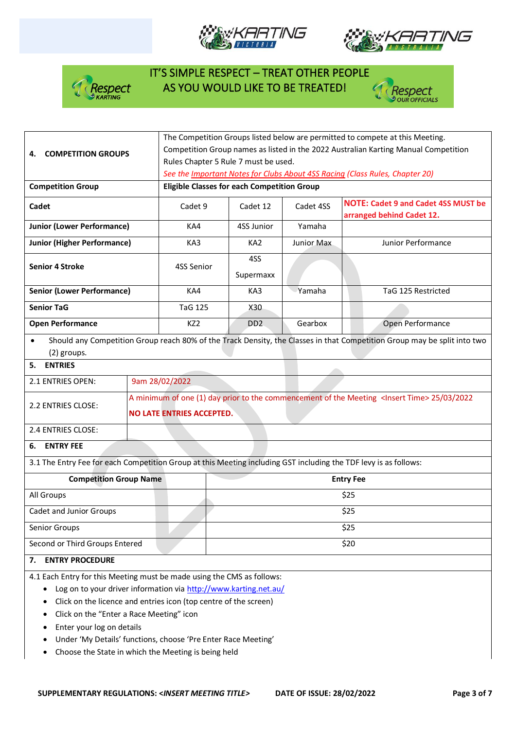







|                                                                                                                  |                                                                              | The Competition Groups listed below are permitted to compete at this Meeting.                          |                                                                                     |                                                    |            |                                                                                                                          |  |  |  |
|------------------------------------------------------------------------------------------------------------------|------------------------------------------------------------------------------|--------------------------------------------------------------------------------------------------------|-------------------------------------------------------------------------------------|----------------------------------------------------|------------|--------------------------------------------------------------------------------------------------------------------------|--|--|--|
| 4.                                                                                                               | <b>COMPETITION GROUPS</b>                                                    |                                                                                                        | Competition Group names as listed in the 2022 Australian Karting Manual Competition |                                                    |            |                                                                                                                          |  |  |  |
|                                                                                                                  |                                                                              |                                                                                                        | Rules Chapter 5 Rule 7 must be used.                                                |                                                    |            |                                                                                                                          |  |  |  |
|                                                                                                                  | See the Important Notes for Clubs About 4SS Racing (Class Rules, Chapter 20) |                                                                                                        |                                                                                     |                                                    |            |                                                                                                                          |  |  |  |
| <b>Competition Group</b>                                                                                         |                                                                              |                                                                                                        |                                                                                     | <b>Eligible Classes for each Competition Group</b> |            |                                                                                                                          |  |  |  |
| Cadet                                                                                                            |                                                                              | Cadet 9                                                                                                |                                                                                     | Cadet 12                                           | Cadet 4SS  | <b>NOTE: Cadet 9 and Cadet 4SS MUST be</b>                                                                               |  |  |  |
|                                                                                                                  |                                                                              |                                                                                                        |                                                                                     |                                                    |            | arranged behind Cadet 12.                                                                                                |  |  |  |
| <b>Junior (Lower Performance)</b>                                                                                |                                                                              | KA4                                                                                                    |                                                                                     | 4SS Junior                                         | Yamaha     |                                                                                                                          |  |  |  |
| <b>Junior (Higher Performance)</b>                                                                               |                                                                              | KA3                                                                                                    |                                                                                     | KA <sub>2</sub>                                    | Junior Max | Junior Performance                                                                                                       |  |  |  |
| <b>Senior 4 Stroke</b>                                                                                           |                                                                              |                                                                                                        |                                                                                     | 4SS                                                |            |                                                                                                                          |  |  |  |
|                                                                                                                  |                                                                              | 4SS Senior                                                                                             |                                                                                     | Supermaxx                                          |            |                                                                                                                          |  |  |  |
| <b>Senior (Lower Performance)</b>                                                                                |                                                                              | KA4                                                                                                    |                                                                                     | KA3                                                | Yamaha     | TaG 125 Restricted                                                                                                       |  |  |  |
| <b>Senior TaG</b>                                                                                                |                                                                              | <b>TaG 125</b>                                                                                         |                                                                                     | X30                                                |            |                                                                                                                          |  |  |  |
| <b>Open Performance</b>                                                                                          |                                                                              | KZ <sub>2</sub>                                                                                        |                                                                                     | D <sub>D</sub> <sub>2</sub>                        | Gearbox    | Open Performance                                                                                                         |  |  |  |
| $\bullet$                                                                                                        |                                                                              |                                                                                                        |                                                                                     |                                                    |            | Should any Competition Group reach 80% of the Track Density, the Classes in that Competition Group may be split into two |  |  |  |
| (2) groups.<br><b>ENTRIES</b>                                                                                    |                                                                              |                                                                                                        |                                                                                     |                                                    |            |                                                                                                                          |  |  |  |
| 5.                                                                                                               |                                                                              |                                                                                                        |                                                                                     |                                                    |            |                                                                                                                          |  |  |  |
| 2.1 ENTRIES OPEN:                                                                                                | 9am 28/02/2022                                                               |                                                                                                        |                                                                                     |                                                    |            |                                                                                                                          |  |  |  |
| 2.2 ENTRIES CLOSE:                                                                                               |                                                                              | A minimum of one (1) day prior to the commencement of the Meeting <insert time=""> 25/03/2022</insert> |                                                                                     |                                                    |            |                                                                                                                          |  |  |  |
|                                                                                                                  |                                                                              | <b>NO LATE ENTRIES ACCEPTED.</b>                                                                       |                                                                                     |                                                    |            |                                                                                                                          |  |  |  |
| 2.4 ENTRIES CLOSE:                                                                                               |                                                                              |                                                                                                        |                                                                                     |                                                    |            |                                                                                                                          |  |  |  |
| <b>ENTRY FEE</b><br>6.                                                                                           |                                                                              |                                                                                                        |                                                                                     |                                                    |            |                                                                                                                          |  |  |  |
| 3.1 The Entry Fee for each Competition Group at this Meeting including GST including the TDF levy is as follows: |                                                                              |                                                                                                        |                                                                                     |                                                    |            |                                                                                                                          |  |  |  |
| <b>Competition Group Name</b>                                                                                    |                                                                              |                                                                                                        | <b>Entry Fee</b>                                                                    |                                                    |            |                                                                                                                          |  |  |  |
| All Groups                                                                                                       |                                                                              |                                                                                                        | \$25                                                                                |                                                    |            |                                                                                                                          |  |  |  |
| Cadet and Junior Groups                                                                                          |                                                                              |                                                                                                        | \$25                                                                                |                                                    |            |                                                                                                                          |  |  |  |
| Senior Groups                                                                                                    |                                                                              |                                                                                                        | \$25                                                                                |                                                    |            |                                                                                                                          |  |  |  |
| Second or Third Groups Entered                                                                                   |                                                                              |                                                                                                        |                                                                                     |                                                    |            | \$20                                                                                                                     |  |  |  |
| <b>ENTRY PROCEDURE</b><br>7.                                                                                     |                                                                              |                                                                                                        |                                                                                     |                                                    |            |                                                                                                                          |  |  |  |
| 4.1 Each Entry for this Meeting must be made using the CMS as follows:                                           |                                                                              |                                                                                                        |                                                                                     |                                                    |            |                                                                                                                          |  |  |  |
| Log on to your driver information via http://www.karting.net.au/                                                 |                                                                              |                                                                                                        |                                                                                     |                                                    |            |                                                                                                                          |  |  |  |
| Click on the licence and entries icon (top centre of the screen)                                                 |                                                                              |                                                                                                        |                                                                                     |                                                    |            |                                                                                                                          |  |  |  |

- Click on the "Enter a Race Meeting" icon
- Enter your log on details
- Under 'My Details' functions, choose 'Pre Enter Race Meeting'
- Choose the State in which the Meeting is being held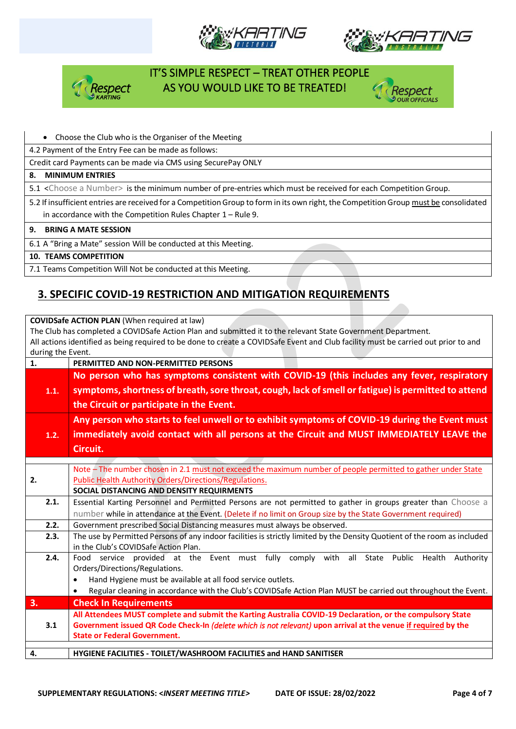







#### • Choose the Club who is the Organiser of the Meeting

4.2 Payment of the Entry Fee can be made as follows:

Credit card Payments can be made via CMS using SecurePay ONLY

#### **8. MINIMUM ENTRIES**

5.1 <Choose a Number> is the minimum number of pre-entries which must be received for each Competition Group.

5.2 If insufficient entries are received for a Competition Group to form in its own right, the Competition Group must be consolidated in accordance with the Competition Rules Chapter 1 – Rule 9.

**9. BRING A MATE SESSION**

6.1 A "Bring a Mate" session Will be conducted at this Meeting.

**10. TEAMS COMPETITION**

7.1 Teams Competition Will Not be conducted at this Meeting.

## **3. SPECIFIC COVID-19 RESTRICTION AND MITIGATION REQUIREMENTS**

**COVIDSafe ACTION PLAN** (When required at law) The Club has completed a COVIDSafe Action Plan and submitted it to the relevant State Government Department. All actions identified as being required to be done to create a COVIDSafe Event and Club facility must be carried out prior to and during the Event.

| 1.                                                                  | PERMITTED AND NON-PERMITTED PERSONS                                                                                                                                                       |  |  |  |  |  |
|---------------------------------------------------------------------|-------------------------------------------------------------------------------------------------------------------------------------------------------------------------------------------|--|--|--|--|--|
|                                                                     | No person who has symptoms consistent with COVID-19 (this includes any fever, respiratory                                                                                                 |  |  |  |  |  |
| 1.1.                                                                | symptoms, shortness of breath, sore throat, cough, lack of smell or fatigue) is permitted to attend                                                                                       |  |  |  |  |  |
|                                                                     |                                                                                                                                                                                           |  |  |  |  |  |
|                                                                     | the Circuit or participate in the Event.                                                                                                                                                  |  |  |  |  |  |
|                                                                     | Any person who starts to feel unwell or to exhibit symptoms of COVID-19 during the Event must<br>immediately avoid contact with all persons at the Circuit and MUST IMMEDIATELY LEAVE the |  |  |  |  |  |
| 1.2.                                                                |                                                                                                                                                                                           |  |  |  |  |  |
|                                                                     | Circuit.                                                                                                                                                                                  |  |  |  |  |  |
|                                                                     |                                                                                                                                                                                           |  |  |  |  |  |
|                                                                     | Note - The number chosen in 2.1 must not exceed the maximum number of people permitted to gather under State                                                                              |  |  |  |  |  |
| <b>Public Health Authority Orders/Directions/Regulations.</b><br>2. |                                                                                                                                                                                           |  |  |  |  |  |
|                                                                     | SOCIAL DISTANCING AND DENSITY REQUIRMENTS                                                                                                                                                 |  |  |  |  |  |
| 2.1.                                                                | Essential Karting Personnel and Permitted Persons are not permitted to gather in groups greater than Choose a                                                                             |  |  |  |  |  |
|                                                                     | number while in attendance at the Event. (Delete if no limit on Group size by the State Government required)                                                                              |  |  |  |  |  |
| 2.2.                                                                | Government prescribed Social Distancing measures must always be observed.                                                                                                                 |  |  |  |  |  |
| 2.3.                                                                | The use by Permitted Persons of any indoor facilities is strictly limited by the Density Quotient of the room as included                                                                 |  |  |  |  |  |
|                                                                     | in the Club's COVIDSafe Action Plan.                                                                                                                                                      |  |  |  |  |  |
| 2.4.                                                                | Food service provided at the Event must fully comply with all<br>State Public Health<br>Authority                                                                                         |  |  |  |  |  |
|                                                                     | Orders/Directions/Regulations.                                                                                                                                                            |  |  |  |  |  |
|                                                                     | Hand Hygiene must be available at all food service outlets.                                                                                                                               |  |  |  |  |  |
|                                                                     | Regular cleaning in accordance with the Club's COVIDSafe Action Plan MUST be carried out throughout the Event.<br>$\bullet$                                                               |  |  |  |  |  |
| 3.                                                                  | <b>Check In Requirements</b>                                                                                                                                                              |  |  |  |  |  |
|                                                                     | All Attendees MUST complete and submit the Karting Australia COVID-19 Declaration, or the compulsory State                                                                                |  |  |  |  |  |
| 3.1                                                                 | Government issued QR Code Check-In (delete which is not relevant) upon arrival at the venue if required by the                                                                            |  |  |  |  |  |
|                                                                     | <b>State or Federal Government.</b>                                                                                                                                                       |  |  |  |  |  |
| 4.                                                                  | HYGIENE FACILITIES - TOILET/WASHROOM FACILITIES and HAND SANITISER                                                                                                                        |  |  |  |  |  |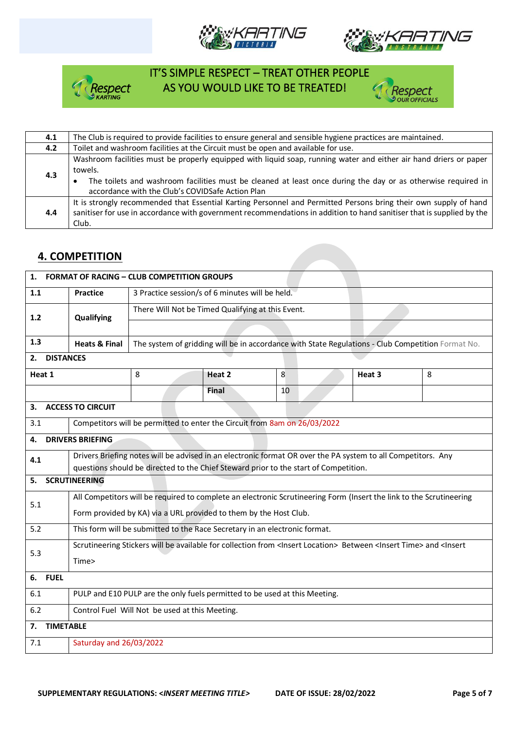







| 4.1 | The Club is required to provide facilities to ensure general and sensible hygiene practices are maintained.                                                                                                                                                                                      |
|-----|--------------------------------------------------------------------------------------------------------------------------------------------------------------------------------------------------------------------------------------------------------------------------------------------------|
| 4.2 | Toilet and washroom facilities at the Circuit must be open and available for use.                                                                                                                                                                                                                |
| 4.3 | Washroom facilities must be properly equipped with liquid soap, running water and either air hand driers or paper<br>towels.<br>The toilets and washroom facilities must be cleaned at least once during the day or as otherwise required in<br>accordance with the Club's COVIDSafe Action Plan |
| 4.4 | It is strongly recommended that Essential Karting Personnel and Permitted Persons bring their own supply of hand<br>sanitiser for use in accordance with government recommendations in addition to hand sanitiser that is supplied by the<br>Club.                                               |

### **4. COMPETITION**

| 1.                                                                                | <b>FORMAT OF RACING - CLUB COMPETITION GROUPS</b>                                                                                                                |                                                                           |                                                                                                   |    |        |   |  |  |
|-----------------------------------------------------------------------------------|------------------------------------------------------------------------------------------------------------------------------------------------------------------|---------------------------------------------------------------------------|---------------------------------------------------------------------------------------------------|----|--------|---|--|--|
| 1.1                                                                               | <b>Practice</b>                                                                                                                                                  | 3 Practice session/s of 6 minutes will be held.                           |                                                                                                   |    |        |   |  |  |
| 1.2                                                                               | Qualifying                                                                                                                                                       | There Will Not be Timed Qualifying at this Event.                         |                                                                                                   |    |        |   |  |  |
|                                                                                   |                                                                                                                                                                  |                                                                           |                                                                                                   |    |        |   |  |  |
| 1.3                                                                               | <b>Heats &amp; Final</b>                                                                                                                                         |                                                                           | The system of gridding will be in accordance with State Regulations - Club Competition Format No. |    |        |   |  |  |
| <b>DISTANCES</b><br>2.                                                            |                                                                                                                                                                  |                                                                           |                                                                                                   |    |        |   |  |  |
| Heat 1                                                                            |                                                                                                                                                                  | 8                                                                         | Heat 2                                                                                            | 8  | Heat 3 | 8 |  |  |
|                                                                                   |                                                                                                                                                                  |                                                                           | Final                                                                                             | 10 |        |   |  |  |
| 3.                                                                                | <b>ACCESS TO CIRCUIT</b>                                                                                                                                         |                                                                           |                                                                                                   |    |        |   |  |  |
| 3.1                                                                               |                                                                                                                                                                  | Competitors will be permitted to enter the Circuit from 8am on 26/03/2022 |                                                                                                   |    |        |   |  |  |
| 4.                                                                                | <b>DRIVERS BRIEFING</b>                                                                                                                                          |                                                                           |                                                                                                   |    |        |   |  |  |
| 4.1                                                                               | Drivers Briefing notes will be advised in an electronic format OR over the PA system to all Competitors. Any                                                     |                                                                           |                                                                                                   |    |        |   |  |  |
| 5.                                                                                | questions should be directed to the Chief Steward prior to the start of Competition.<br><b>SCRUTINEERING</b>                                                     |                                                                           |                                                                                                   |    |        |   |  |  |
|                                                                                   | All Competitors will be required to complete an electronic Scrutineering Form (Insert the link to the Scrutineering                                              |                                                                           |                                                                                                   |    |        |   |  |  |
| 5.1                                                                               | Form provided by KA) via a URL provided to them by the Host Club.                                                                                                |                                                                           |                                                                                                   |    |        |   |  |  |
| 5.2                                                                               |                                                                                                                                                                  |                                                                           |                                                                                                   |    |        |   |  |  |
| This form will be submitted to the Race Secretary in an electronic format.        |                                                                                                                                                                  |                                                                           |                                                                                                   |    |        |   |  |  |
| 5.3                                                                               | Scrutineering Stickers will be available for collection from <insert location=""> Between <insert time=""> and <insert<br>Time&gt;</insert<br></insert></insert> |                                                                           |                                                                                                   |    |        |   |  |  |
| <b>FUEL</b><br>6.                                                                 |                                                                                                                                                                  |                                                                           |                                                                                                   |    |        |   |  |  |
|                                                                                   |                                                                                                                                                                  |                                                                           |                                                                                                   |    |        |   |  |  |
| PULP and E10 PULP are the only fuels permitted to be used at this Meeting.<br>6.1 |                                                                                                                                                                  |                                                                           |                                                                                                   |    |        |   |  |  |
|                                                                                   | 6.2<br>Control Fuel Will Not be used at this Meeting.                                                                                                            |                                                                           |                                                                                                   |    |        |   |  |  |
| <b>TIMETABLE</b><br>7.                                                            |                                                                                                                                                                  |                                                                           |                                                                                                   |    |        |   |  |  |
| 7.1                                                                               | Saturday and 26/03/2022                                                                                                                                          |                                                                           |                                                                                                   |    |        |   |  |  |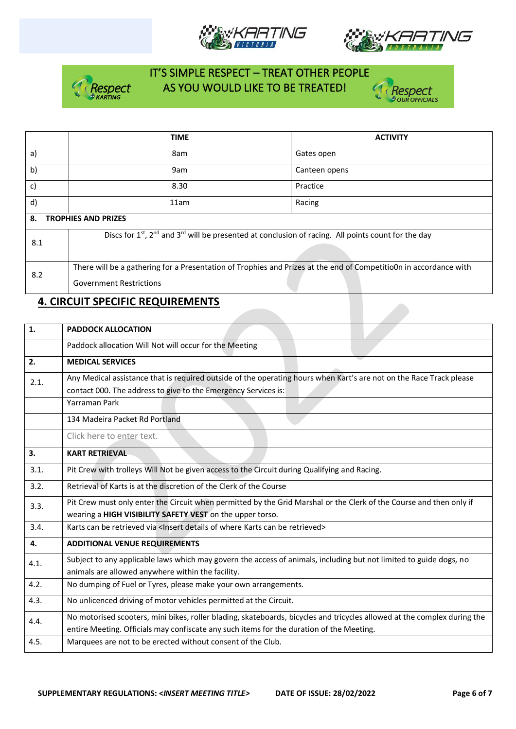







|     | <b>TIME</b>                                                                                                                             | <b>ACTIVITY</b> |  |  |  |  |
|-----|-----------------------------------------------------------------------------------------------------------------------------------------|-----------------|--|--|--|--|
| a)  | 8am                                                                                                                                     | Gates open      |  |  |  |  |
| b)  | 9am                                                                                                                                     | Canteen opens   |  |  |  |  |
| c)  | 8.30                                                                                                                                    | Practice        |  |  |  |  |
| d)  | 11am                                                                                                                                    | Racing          |  |  |  |  |
| 8.  | <b>TROPHIES AND PRIZES</b>                                                                                                              |                 |  |  |  |  |
| 8.1 | Discs for 1 <sup>st</sup> , 2 <sup>nd</sup> and 3 <sup>rd</sup> will be presented at conclusion of racing. All points count for the day |                 |  |  |  |  |
|     |                                                                                                                                         |                 |  |  |  |  |
| 8.2 | There will be a gathering for a Presentation of Trophies and Prizes at the end of CompetitioOn in accordance with                       |                 |  |  |  |  |
|     | <b>Government Restrictions</b>                                                                                                          |                 |  |  |  |  |

## **4. CIRCUIT SPECIFIC REQUIREMENTS**

| <b>PADDOCK ALLOCATION</b>                                                                                                                                                                                            |  |  |  |  |  |  |
|----------------------------------------------------------------------------------------------------------------------------------------------------------------------------------------------------------------------|--|--|--|--|--|--|
| Paddock allocation Will Not will occur for the Meeting                                                                                                                                                               |  |  |  |  |  |  |
| <b>MEDICAL SERVICES</b>                                                                                                                                                                                              |  |  |  |  |  |  |
| Any Medical assistance that is required outside of the operating hours when Kart's are not on the Race Track please<br>contact 000. The address to give to the Emergency Services is:                                |  |  |  |  |  |  |
| Yarraman Park                                                                                                                                                                                                        |  |  |  |  |  |  |
| 134 Madeira Packet Rd Portland                                                                                                                                                                                       |  |  |  |  |  |  |
| Click here to enter text.                                                                                                                                                                                            |  |  |  |  |  |  |
| <b>KART RETRIEVAL</b>                                                                                                                                                                                                |  |  |  |  |  |  |
| Pit Crew with trolleys Will Not be given access to the Circuit during Qualifying and Racing.                                                                                                                         |  |  |  |  |  |  |
| Retrieval of Karts is at the discretion of the Clerk of the Course                                                                                                                                                   |  |  |  |  |  |  |
| Pit Crew must only enter the Circuit when permitted by the Grid Marshal or the Clerk of the Course and then only if<br>wearing a HIGH VISIBILITY SAFETY VEST on the upper torso.                                     |  |  |  |  |  |  |
| Karts can be retrieved via < Insert details of where Karts can be retrieved>                                                                                                                                         |  |  |  |  |  |  |
| <b>ADDITIONAL VENUE REQUIREMENTS</b>                                                                                                                                                                                 |  |  |  |  |  |  |
| Subject to any applicable laws which may govern the access of animals, including but not limited to guide dogs, no<br>animals are allowed anywhere within the facility.                                              |  |  |  |  |  |  |
| No dumping of Fuel or Tyres, please make your own arrangements.                                                                                                                                                      |  |  |  |  |  |  |
| No unlicenced driving of motor vehicles permitted at the Circuit.                                                                                                                                                    |  |  |  |  |  |  |
| No motorised scooters, mini bikes, roller blading, skateboards, bicycles and tricycles allowed at the complex during the<br>entire Meeting. Officials may confiscate any such items for the duration of the Meeting. |  |  |  |  |  |  |
| Marquees are not to be erected without consent of the Club.                                                                                                                                                          |  |  |  |  |  |  |
|                                                                                                                                                                                                                      |  |  |  |  |  |  |